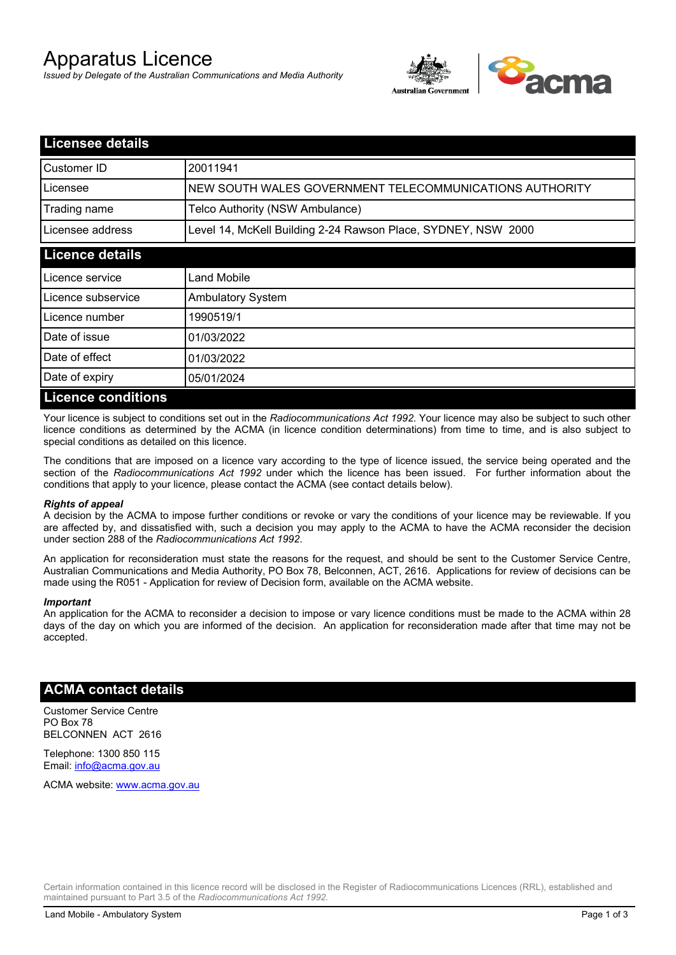# Apparatus Licence

*Issued by Delegate of the Australian Communications and Media Authority*



| <b>Licensee details</b>   |                                                               |
|---------------------------|---------------------------------------------------------------|
| Customer ID               | 20011941                                                      |
| Licensee                  | NEW SOUTH WALES GOVERNMENT TELECOMMUNICATIONS AUTHORITY       |
| Trading name              | Telco Authority (NSW Ambulance)                               |
| Licensee address          | Level 14, McKell Building 2-24 Rawson Place, SYDNEY, NSW 2000 |
| <b>Licence details</b>    |                                                               |
| Licence service           | Land Mobile                                                   |
| Licence subservice        | <b>Ambulatory System</b>                                      |
| Licence number            | 1990519/1                                                     |
| Date of issue             | 01/03/2022                                                    |
| Date of effect            | 01/03/2022                                                    |
| Date of expiry            | 05/01/2024                                                    |
| <b>Licence conditions</b> |                                                               |

Your licence is subject to conditions set out in the *Radiocommunications Act 1992*. Your licence may also be subject to such other licence conditions as determined by the ACMA (in licence condition determinations) from time to time, and is also subject to special conditions as detailed on this licence.

The conditions that are imposed on a licence vary according to the type of licence issued, the service being operated and the section of the *Radiocommunications Act 1992* under which the licence has been issued. For further information about the conditions that apply to your licence, please contact the ACMA (see contact details below).

#### *Rights of appeal*

A decision by the ACMA to impose further conditions or revoke or vary the conditions of your licence may be reviewable. If you are affected by, and dissatisfied with, such a decision you may apply to the ACMA to have the ACMA reconsider the decision under section 288 of the *Radiocommunications Act 1992*.

An application for reconsideration must state the reasons for the request, and should be sent to the Customer Service Centre, Australian Communications and Media Authority, PO Box 78, Belconnen, ACT, 2616. Applications for review of decisions can be made using the R051 - Application for review of Decision form, available on the ACMA website.

#### *Important*

An application for the ACMA to reconsider a decision to impose or vary licence conditions must be made to the ACMA within 28 days of the day on which you are informed of the decision. An application for reconsideration made after that time may not be accepted.

#### **ACMA contact details**

Customer Service Centre PO Box 78 BELCONNEN ACT 2616

Telephone: 1300 850 115 Email: info@acma.gov.au

ACMA website: www.acma.gov.au

Certain information contained in this licence record will be disclosed in the Register of Radiocommunications Licences (RRL), established and maintained pursuant to Part 3.5 of the *Radiocommunications Act 1992.*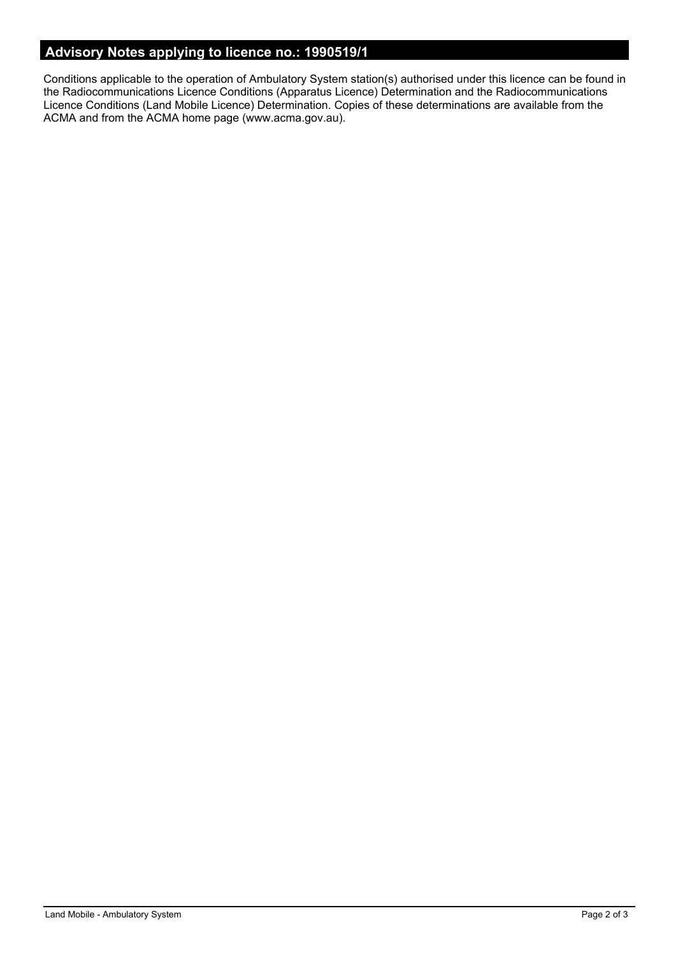### **Advisory Notes applying to licence no.: 1990519/1**

Conditions applicable to the operation of Ambulatory System station(s) authorised under this licence can be found in the Radiocommunications Licence Conditions (Apparatus Licence) Determination and the Radiocommunications Licence Conditions (Land Mobile Licence) Determination. Copies of these determinations are available from the ACMA and from the ACMA home page (www.acma.gov.au).